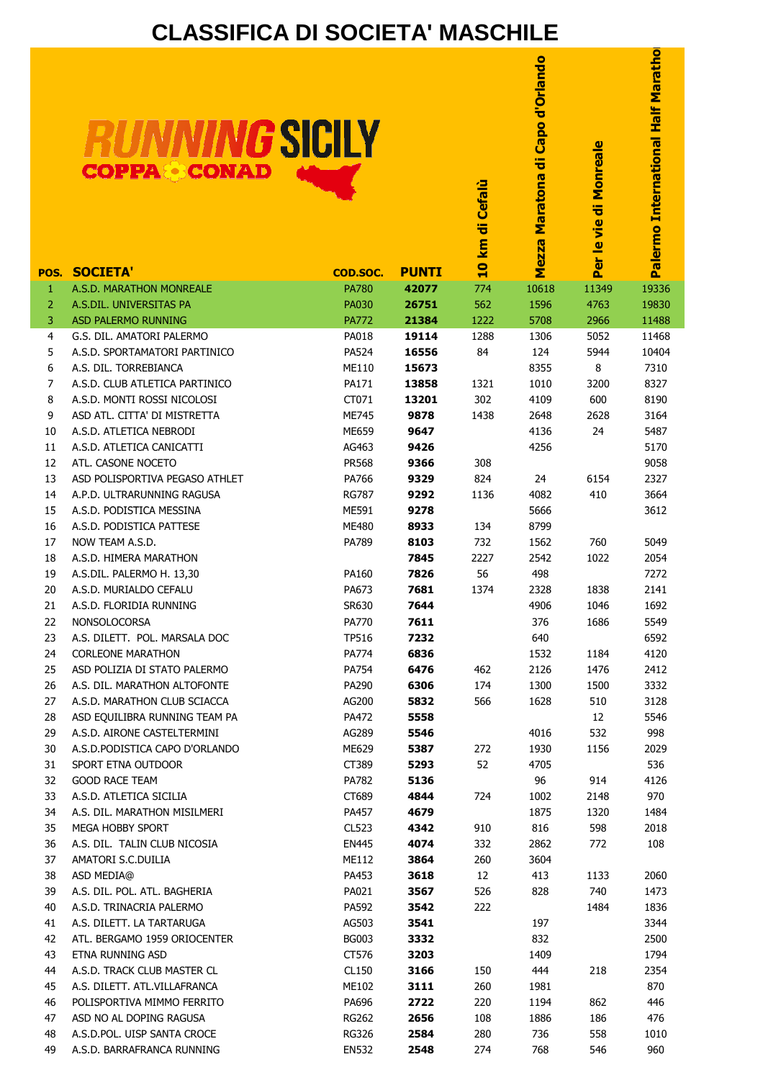## **CLASSIFICA DI SOCIETA' MASCHILE**

| <b>RUNNING SICILY</b> |  |
|-----------------------|--|
| <b>COPPA CONAD</b>    |  |

|           | <b>COPPA&amp;CONAD</b>                                      | <i>ING</i> SICILY        |                       | <b>Cefalù</b><br>km di  | Capo d'Orlando<br>ㅎ<br>Maratona | di Monreale<br>Per le vie | Palermo International Half Maratho |
|-----------|-------------------------------------------------------------|--------------------------|-----------------------|-------------------------|---------------------------------|---------------------------|------------------------------------|
|           | <b>SOCIETA'</b>                                             |                          |                       | $\overline{\mathbf{u}}$ | Mezza                           |                           |                                    |
| POS.<br>1 | A.S.D. MARATHON MONREALE                                    | COD.SOC.<br><b>PA780</b> | <b>PUNTI</b><br>42077 | 774                     | 10618                           | 11349                     | 19336                              |
| 2         | A.S.DIL. UNIVERSITAS PA                                     | <b>PA030</b>             | 26751                 | 562                     | 1596                            | 4763                      | 19830                              |
| 3         | <b>ASD PALERMO RUNNING</b>                                  | <b>PA772</b>             | 21384                 | 1222                    | 5708                            | 2966                      | 11488                              |
| 4         | G.S. DIL. AMATORI PALERMO                                   | PA018                    | 19114                 | 1288                    | 1306                            | 5052                      | 11468                              |
| 5         | A.S.D. SPORTAMATORI PARTINICO                               | PA524                    | 16556                 | 84                      | 124                             | 5944                      | 10404                              |
| 6         | A.S. DIL. TORREBIANCA                                       | <b>ME110</b>             | 15673                 |                         | 8355                            | 8                         | 7310                               |
| 7         | A.S.D. CLUB ATLETICA PARTINICO                              | PA171                    | 13858                 | 1321                    | 1010                            | 3200                      | 8327                               |
| 8<br>9    | A.S.D. MONTI ROSSI NICOLOSI<br>ASD ATL. CITTA' DI MISTRETTA | CT071<br><b>ME745</b>    | 13201<br>9878         | 302<br>1438             | 4109<br>2648                    | 600<br>2628               | 8190<br>3164                       |
| 10        | A.S.D. ATLETICA NEBRODI                                     | ME659                    | 9647                  |                         | 4136                            | 24                        | 5487                               |
| 11        | A.S.D. ATLETICA CANICATTI                                   | AG463                    | 9426                  |                         | 4256                            |                           | 5170                               |
| 12        | ATL. CASONE NOCETO                                          | <b>PR568</b>             | 9366                  | 308                     |                                 |                           | 9058                               |
| 13        | ASD POLISPORTIVA PEGASO ATHLET                              | PA766                    | 9329                  | 824                     | 24                              | 6154                      | 2327                               |
| 14        | A.P.D. ULTRARUNNING RAGUSA                                  | <b>RG787</b>             | 9292                  | 1136                    | 4082                            | 410                       | 3664                               |
| 15        | A.S.D. PODISTICA MESSINA                                    | ME591                    | 9278                  |                         | 5666                            |                           | 3612                               |
| 16        | A.S.D. PODISTICA PATTESE                                    | ME480                    | 8933                  | 134                     | 8799                            |                           |                                    |
| 17        | NOW TEAM A.S.D.                                             | PA789                    | 8103                  | 732                     | 1562                            | 760                       | 5049                               |
| 18        | A.S.D. HIMERA MARATHON                                      |                          | 7845                  | 2227                    | 2542                            | 1022                      | 2054                               |
| 19<br>20  | A.S.DIL. PALERMO H. 13,30<br>A.S.D. MURIALDO CEFALU         | PA160<br>PA673           | 7826<br>7681          | 56<br>1374              | 498<br>2328                     | 1838                      | 7272<br>2141                       |
| 21        | A.S.D. FLORIDIA RUNNING                                     | SR630                    | 7644                  |                         | 4906                            | 1046                      | 1692                               |
| 22        | NONSOLOCORSA                                                | PA770                    | 7611                  |                         | 376                             | 1686                      | 5549                               |
| 23        | A.S. DILETT. POL. MARSALA DOC                               | <b>TP516</b>             | 7232                  |                         | 640                             |                           | 6592                               |
| 24        | <b>CORLEONE MARATHON</b>                                    | PA774                    | 6836                  |                         | 1532                            | 1184                      | 4120                               |
| 25        | ASD POLIZIA DI STATO PALERMO                                | PA754                    | 6476                  | 462                     | 2126                            | 1476                      | 2412                               |
| 26        | A.S. DIL. MARATHON ALTOFONTE                                | PA290                    | 6306                  | 174                     | 1300                            | 1500                      | 3332                               |
| 27        | A.S.D. MARATHON CLUB SCIACCA                                | AG200                    | 5832                  | 566                     | 1628                            | 510                       | 3128                               |
| 28        | ASD EQUILIBRA RUNNING TEAM PA                               | PA472                    | 5558                  |                         |                                 | 12                        | 5546                               |
| 29        | A.S.D. AIRONE CASTELTERMINI                                 | AG289                    | 5546                  |                         | 4016                            | 532                       | 998                                |
| 30        | A.S.D. PODISTICA CAPO D'ORLANDO                             | ME629                    | 5387                  | 272                     | 1930                            | 1156                      | 2029                               |
| 31<br>32  | SPORT ETNA OUTDOOR<br><b>GOOD RACE TEAM</b>                 | CT389<br>PA782           | 5293<br>5136          | 52                      | 4705<br>96                      | 914                       | 536<br>4126                        |
| 33        | A.S.D. ATLETICA SICILIA                                     | CT689                    | 4844                  | 724                     | 1002                            | 2148                      | 970                                |
| 34        | A.S. DIL. MARATHON MISILMERI                                | PA457                    | 4679                  |                         | 1875                            | 1320                      | 1484                               |
| 35        | MEGA HOBBY SPORT                                            | CL523                    | 4342                  | 910                     | 816                             | 598                       | 2018                               |
| 36        | A.S. DIL. TALIN CLUB NICOSIA                                | <b>EN445</b>             | 4074                  | 332                     | 2862                            | 772                       | 108                                |
| 37        | AMATORI S.C.DUILIA                                          | ME112                    | 3864                  | 260                     | 3604                            |                           |                                    |
| 38        | ASD MEDIA@                                                  | PA453                    | 3618                  | 12                      | 413                             | 1133                      | 2060                               |
| 39        | A.S. DIL. POL. ATL. BAGHERIA                                | PA021                    | 3567                  | 526                     | 828                             | 740                       | 1473                               |
| 40        | A.S.D. TRINACRIA PALERMO                                    | PA592                    | 3542                  | 222                     |                                 | 1484                      | 1836                               |
| 41        | A.S. DILETT. LA TARTARUGA                                   | AG503                    | 3541                  |                         | 197                             |                           | 3344                               |
| 42        | ATL. BERGAMO 1959 ORIOCENTER                                | <b>BG003</b>             | 3332                  |                         | 832                             |                           | 2500                               |
| 43<br>44  | ETNA RUNNING ASD<br>A.S.D. TRACK CLUB MASTER CL             | CT576<br>CL150           | 3203<br>3166          | 150                     | 1409<br>444                     | 218                       | 1794<br>2354                       |
| 45        | A.S. DILETT. ATL.VILLAFRANCA                                | ME102                    | 3111                  | 260                     | 1981                            |                           | 870                                |
| 46        | POLISPORTIVA MIMMO FERRITO                                  | PA696                    | 2722                  | 220                     | 1194                            | 862                       | 446                                |
| 47        | ASD NO AL DOPING RAGUSA                                     | RG262                    | 2656                  | 108                     | 1886                            | 186                       | 476                                |
| 48        | A.S.D.POL. UISP SANTA CROCE                                 | <b>RG326</b>             | 2584                  | 280                     | 736                             | 558                       | 1010                               |

49 A.S.D. BARRAFRANCA RUNNING EN532 **2548** 274 768 546 960